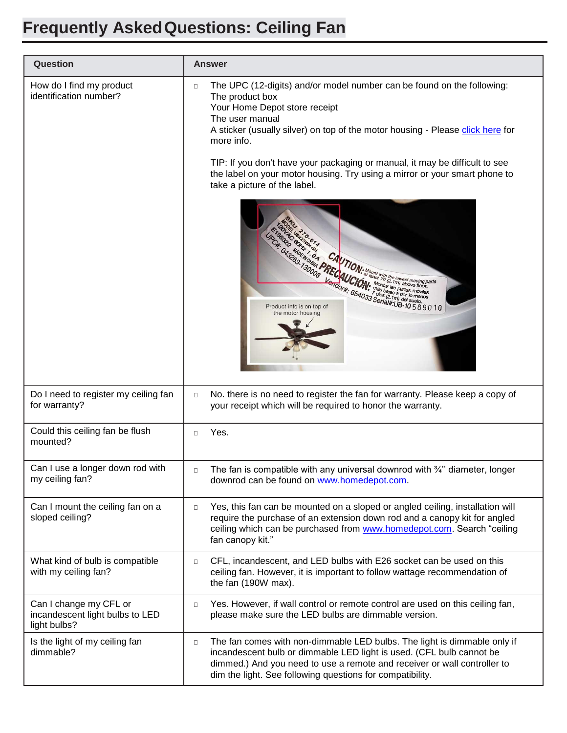## **Frequently AskedQuestions: Ceiling Fan**

| Question                                                                  |        | <b>Answer</b>                                                                                                                                                                                                                                                                                                                                                                                                                                                                                                                                                                                                                                                                                                                  |
|---------------------------------------------------------------------------|--------|--------------------------------------------------------------------------------------------------------------------------------------------------------------------------------------------------------------------------------------------------------------------------------------------------------------------------------------------------------------------------------------------------------------------------------------------------------------------------------------------------------------------------------------------------------------------------------------------------------------------------------------------------------------------------------------------------------------------------------|
| How do I find my product<br>identification number?                        | $\Box$ | The UPC (12-digits) and/or model number can be found on the following:<br>The product box<br>Your Home Depot store receipt<br>The user manual<br>A sticker (usually silver) on top of the motor housing - Please click here for<br>more info.<br>TIP: If you don't have your packaging or manual, it may be difficult to see<br>the label on your motor housing. Try using a mirror or your smart phone to<br>take a picture of the label.<br>Anterior CAVION: Mount With the format moving the CAVION: Mount With the format moving the CAVION: Month Carinh del moving the CAVION: Month Carinh del moving the CAVION of the CAVION of the CAVION of the CAVION of the CAV<br>Product info is on top of<br>the motor housing |
| Do I need to register my ceiling fan<br>for warranty?                     | $\Box$ | No. there is no need to register the fan for warranty. Please keep a copy of<br>your receipt which will be required to honor the warranty.                                                                                                                                                                                                                                                                                                                                                                                                                                                                                                                                                                                     |
| Could this ceiling fan be flush<br>mounted?                               | $\Box$ | Yes.                                                                                                                                                                                                                                                                                                                                                                                                                                                                                                                                                                                                                                                                                                                           |
| Can I use a longer down rod with<br>my ceiling fan?                       | $\Box$ | The fan is compatible with any universal downrod with $\frac{3}{4}$ " diameter, longer<br>downrod can be found on www.homedepot.com.                                                                                                                                                                                                                                                                                                                                                                                                                                                                                                                                                                                           |
| Can I mount the ceiling fan on a<br>sloped ceiling?                       | $\Box$ | Yes, this fan can be mounted on a sloped or angled ceiling, installation will<br>require the purchase of an extension down rod and a canopy kit for angled<br>ceiling which can be purchased from www.homedepot.com. Search "ceiling<br>fan canopy kit."                                                                                                                                                                                                                                                                                                                                                                                                                                                                       |
| What kind of bulb is compatible<br>with my ceiling fan?                   | $\Box$ | CFL, incandescent, and LED bulbs with E26 socket can be used on this<br>ceiling fan. However, it is important to follow wattage recommendation of<br>the fan (190W max).                                                                                                                                                                                                                                                                                                                                                                                                                                                                                                                                                       |
| Can I change my CFL or<br>incandescent light bulbs to LED<br>light bulbs? | $\Box$ | Yes. However, if wall control or remote control are used on this ceiling fan,<br>please make sure the LED bulbs are dimmable version.                                                                                                                                                                                                                                                                                                                                                                                                                                                                                                                                                                                          |
| Is the light of my ceiling fan<br>dimmable?                               | $\Box$ | The fan comes with non-dimmable LED bulbs. The light is dimmable only if<br>incandescent bulb or dimmable LED light is used. (CFL bulb cannot be<br>dimmed.) And you need to use a remote and receiver or wall controller to<br>dim the light. See following questions for compatibility.                                                                                                                                                                                                                                                                                                                                                                                                                                      |